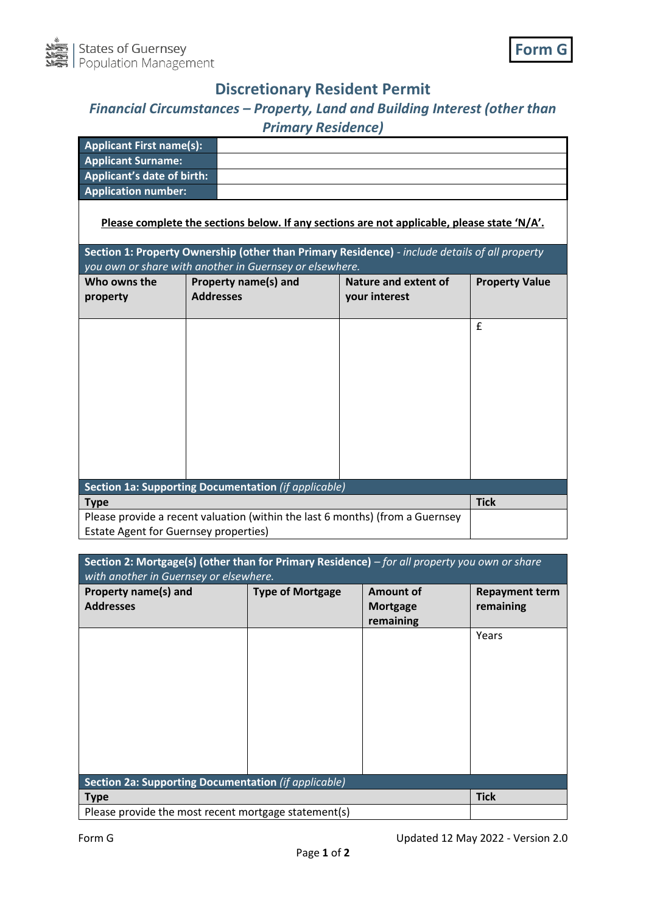

## **Discretionary Resident Permit**

## *Financial Circumstances – Property, Land and Building Interest (other than Primary Residence)*

| <b>Applicant First name(s):</b>   |  |
|-----------------------------------|--|
| <b>Applicant Surname:</b>         |  |
| <b>Applicant's date of birth:</b> |  |
| <b>Application number:</b>        |  |

**Please complete the sections below. If any sections are not applicable, please state 'N/A'.**

| Section 1: Property Ownership (other than Primary Residence) - include details of all property<br>you own or share with another in Guernsey or elsewhere. |                      |                      |                       |  |
|-----------------------------------------------------------------------------------------------------------------------------------------------------------|----------------------|----------------------|-----------------------|--|
| Who owns the                                                                                                                                              | Property name(s) and | Nature and extent of | <b>Property Value</b> |  |
| property                                                                                                                                                  | <b>Addresses</b>     | your interest        |                       |  |
|                                                                                                                                                           |                      |                      | £                     |  |
| Section 1a: Supporting Documentation (if applicable)                                                                                                      |                      |                      |                       |  |
| <b>Type</b>                                                                                                                                               |                      |                      | <b>Tick</b>           |  |
| Please provide a recent valuation (within the last 6 months) (from a Guernsey                                                                             |                      |                      |                       |  |
| <b>Estate Agent for Guernsey properties)</b>                                                                                                              |                      |                      |                       |  |

| Section 2: Mortgage(s) (other than for Primary Residence) - for all property you own or share<br>with another in Guernsey or elsewhere. |                         |                                                  |                                    |  |
|-----------------------------------------------------------------------------------------------------------------------------------------|-------------------------|--------------------------------------------------|------------------------------------|--|
| Property name(s) and<br><b>Addresses</b>                                                                                                | <b>Type of Mortgage</b> | <b>Amount of</b><br><b>Mortgage</b><br>remaining | <b>Repayment term</b><br>remaining |  |
|                                                                                                                                         |                         |                                                  | Years                              |  |
|                                                                                                                                         |                         |                                                  |                                    |  |
|                                                                                                                                         |                         |                                                  |                                    |  |
|                                                                                                                                         |                         |                                                  |                                    |  |
| Section 2a: Supporting Documentation (if applicable)<br><b>Type</b>                                                                     |                         | <b>Tick</b>                                      |                                    |  |
| Please provide the most recent mortgage statement(s)                                                                                    |                         |                                                  |                                    |  |